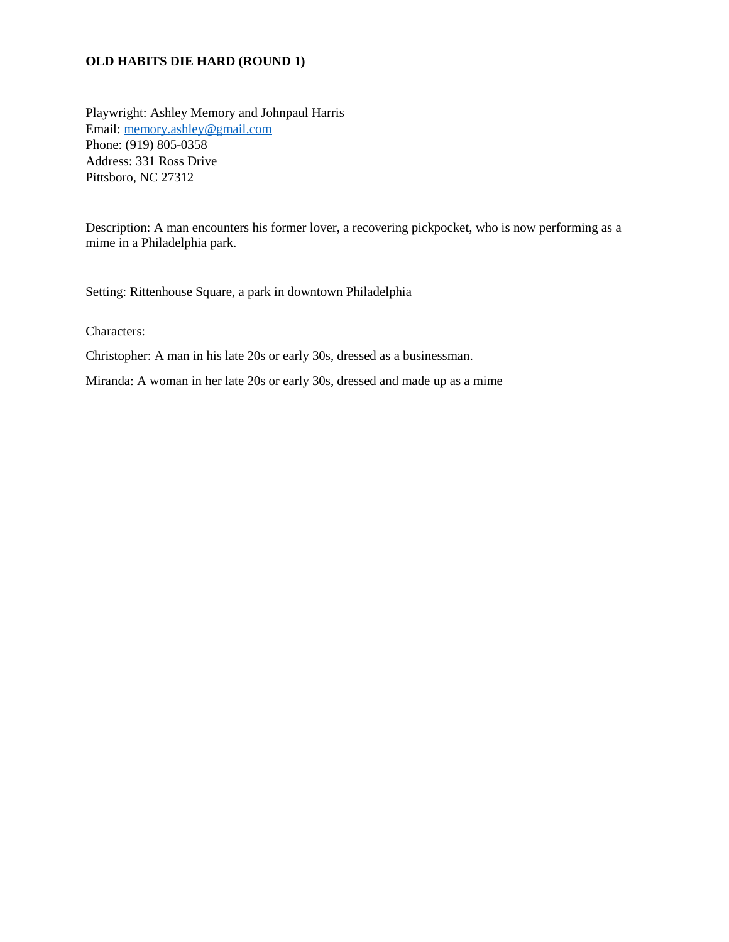## **OLD HABITS DIE HARD (ROUND 1)**

Playwright: Ashley Memory and Johnpaul Harris Email: [memory.ashley@gmail.com](mailto:memory.ashley@gmail.com) Phone: (919) 805-0358 Address: 331 Ross Drive Pittsboro, NC 27312

Description: A man encounters his former lover, a recovering pickpocket, who is now performing as a mime in a Philadelphia park.

Setting: Rittenhouse Square, a park in downtown Philadelphia

Characters:

Christopher: A man in his late 20s or early 30s, dressed as a businessman.

Miranda: A woman in her late 20s or early 30s, dressed and made up as a mime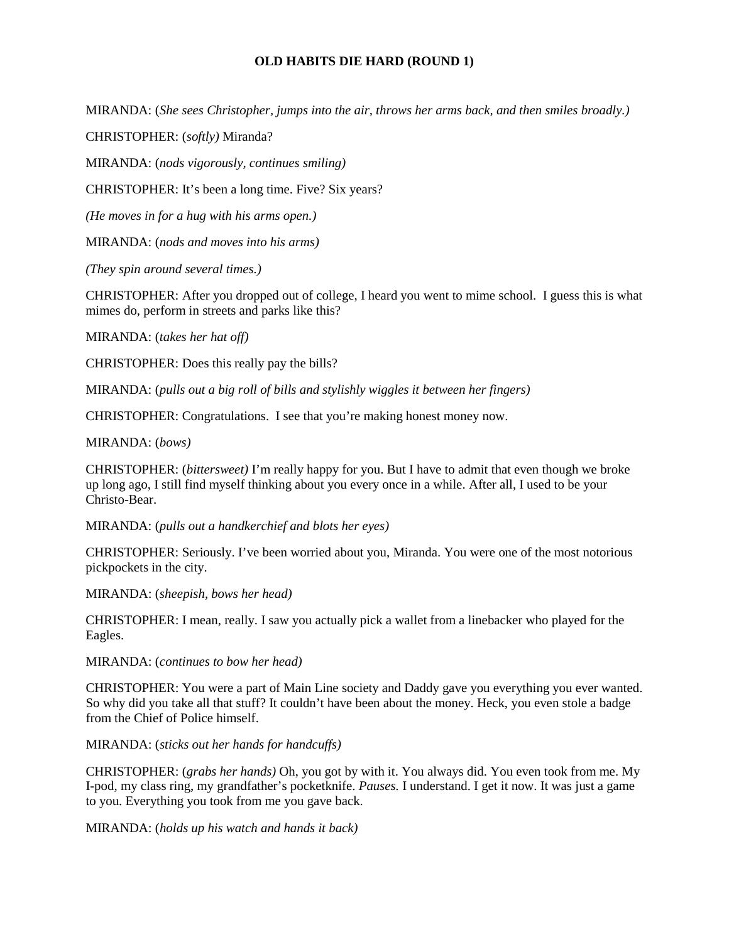## **OLD HABITS DIE HARD (ROUND 1)**

MIRANDA: (*She sees Christopher, jumps into the air, throws her arms back, and then smiles broadly.)*

CHRISTOPHER: (*softly)* Miranda?

MIRANDA: (*nods vigorously, continues smiling)*

CHRISTOPHER: It's been a long time. Five? Six years?

*(He moves in for a hug with his arms open.)*

MIRANDA: (*nods and moves into his arms)*

*(They spin around several times.)*

CHRISTOPHER: After you dropped out of college, I heard you went to mime school. I guess this is what mimes do, perform in streets and parks like this?

MIRANDA: (*takes her hat off)*

CHRISTOPHER: Does this really pay the bills?

MIRANDA: (*pulls out a big roll of bills and stylishly wiggles it between her fingers)*

CHRISTOPHER: Congratulations. I see that you're making honest money now.

MIRANDA: (*bows)*

CHRISTOPHER: (*bittersweet)* I'm really happy for you. But I have to admit that even though we broke up long ago, I still find myself thinking about you every once in a while. After all, I used to be your Christo-Bear.

MIRANDA: (*pulls out a handkerchief and blots her eyes)*

CHRISTOPHER: Seriously. I've been worried about you, Miranda. You were one of the most notorious pickpockets in the city.

MIRANDA: (*sheepish, bows her head)*

CHRISTOPHER: I mean, really. I saw you actually pick a wallet from a linebacker who played for the Eagles.

MIRANDA: (*continues to bow her head)*

CHRISTOPHER: You were a part of Main Line society and Daddy gave you everything you ever wanted. So why did you take all that stuff? It couldn't have been about the money. Heck, you even stole a badge from the Chief of Police himself.

MIRANDA: (*sticks out her hands for handcuffs)*

CHRISTOPHER: (*grabs her hands)* Oh, you got by with it. You always did. You even took from me. My I-pod, my class ring, my grandfather's pocketknife. *Pauses.* I understand. I get it now. It was just a game to you. Everything you took from me you gave back.

MIRANDA: (*holds up his watch and hands it back)*